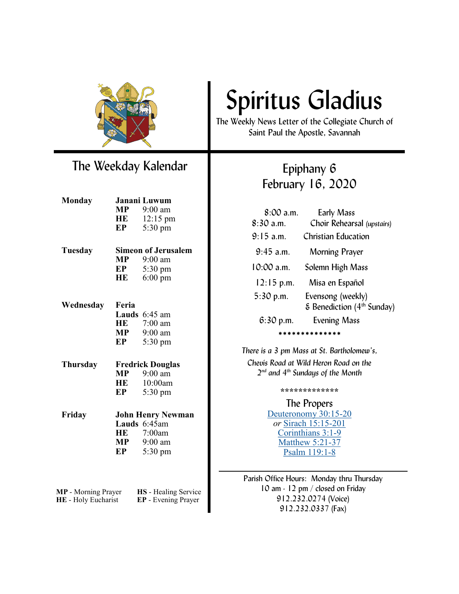

### The Weekday Kalendar

| <b>Monday</b>                                     | Janani Luwum               |                                             |
|---------------------------------------------------|----------------------------|---------------------------------------------|
|                                                   | $\bf{MP}$                  | 9:00 am                                     |
|                                                   | HE                         | $12:15 \text{ pm}$                          |
|                                                   | EP                         | 5:30 pm                                     |
| Tuesday                                           | <b>Simeon of Jerusalem</b> |                                             |
|                                                   | <b>MP</b>                  | 9:00 am                                     |
|                                                   | EP                         | $5:30 \text{ pm}$                           |
|                                                   | HE                         | $6:00 \text{ pm}$                           |
| Wednesday                                         | Feria                      |                                             |
|                                                   |                            | <b>Lauds</b> $6:45$ am                      |
|                                                   | HE                         | $7:00$ am                                   |
|                                                   | MP                         | $9:00$ am                                   |
|                                                   | EP                         | $5:30 \text{ pm}$                           |
| Thursday                                          | <b>Fredrick Douglas</b>    |                                             |
|                                                   | MP                         | $9:00 \text{ am}$                           |
|                                                   | HE                         | 10:00am                                     |
|                                                   | EP                         | $5:30 \text{ pm}$                           |
| Friday                                            | <b>John Henry Newman</b>   |                                             |
|                                                   |                            | Lauds $6:45$ am                             |
|                                                   | HE                         | 7:00am                                      |
|                                                   | MP                         | 9:00 am                                     |
|                                                   | EP                         | 5:30 pm                                     |
|                                                   |                            |                                             |
| <b>MP</b> - Morning Prayer<br>HE - Holy Eucharist |                            | HS - Healing Service<br>EP - Evening Prayer |

# Spiritus Gladius

The Weekly News Letter of the Collegiate Church of Saint Paul the Apostle, Savannah

## Epiphany 6 February 16, 2020

| $8:00$ a.m.         | <b>Early Mass</b>                               |  |  |
|---------------------|-------------------------------------------------|--|--|
| $8:30$ a.m.         | Choir Rehearsal (upstairs)                      |  |  |
| $9:15$ a.m.         | Christian Education                             |  |  |
| $9:45$ a.m.         | Morning Prayer                                  |  |  |
| $10:00$ a.m.        | Solemn High Mass                                |  |  |
| $12:15$ p.m.        | Misa en Español                                 |  |  |
| $5:30$ p.m.         | Evensong (weekly)                               |  |  |
|                     | $\epsilon$ Benediction (4 <sup>th</sup> Sunday) |  |  |
| $6:30$ p.m.         | <b>Evening Mass</b>                             |  |  |
| * * * * * * * * * * |                                                 |  |  |

*There is a 3 pm Mass at St. Bartholomew's, Chevis Road at Wild Heron Road on the 2 nd and 4th Sundays of the Month*

**\*\*\*\*\*\*\*\*\*\*\*\*\***

### The Propers

[Deuteronomy 30:15](https://www.lectionarypage.net/YearA_RCL/Epiphany/AEpi6_RCL.html#ot1)-20 *or* [Sirach 15:15](https://www.lectionarypage.net/YearA_RCL/Epiphany/AEpi6_RCL.html#ot2)-2[01](https://www.lectionarypage.net/YearA_RCL/Epiphany/AEpi6_RCL.html#nt1)  [Corinthians 3:1](https://www.lectionarypage.net/YearA_RCL/Epiphany/AEpi6_RCL.html#nt1)-9 [Matthew 5:21](https://www.lectionarypage.net/YearA_RCL/Epiphany/AEpi6_RCL.html#gsp1)-37 [Psalm 119:1](https://www.lectionarypage.net/YearA_RCL/Epiphany/AEpi6_RCL.html#ps1)-8

Parish Office Hours: Monday thru Thursday 10 am - 12 pm / closed on Friday 912.232.0274 (Voice) 912.232.0337 (Fax)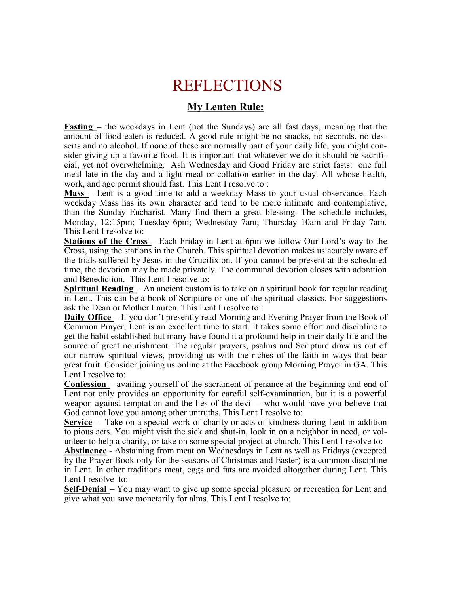# REFLECTIONS

### **My Lenten Rule:**

**Fasting** – the weekdays in Lent (not the Sundays) are all fast days, meaning that the amount of food eaten is reduced. A good rule might be no snacks, no seconds, no desserts and no alcohol. If none of these are normally part of your daily life, you might consider giving up a favorite food. It is important that whatever we do it should be sacrificial, yet not overwhelming. Ash Wednesday and Good Friday are strict fasts: one full meal late in the day and a light meal or collation earlier in the day. All whose health, work, and age permit should fast. This Lent I resolve to :

**Mass** – Lent is a good time to add a weekday Mass to your usual observance. Each weekday Mass has its own character and tend to be more intimate and contemplative, than the Sunday Eucharist. Many find them a great blessing. The schedule includes, Monday, 12:15pm; Tuesday 6pm; Wednesday 7am; Thursday 10am and Friday 7am. This Lent I resolve to:

**Stations of the Cross** – Each Friday in Lent at 6pm we follow Our Lord's way to the Cross, using the stations in the Church. This spiritual devotion makes us acutely aware of the trials suffered by Jesus in the Crucifixion. If you cannot be present at the scheduled time, the devotion may be made privately. The communal devotion closes with adoration and Benediction. This Lent I resolve to:

**Spiritual Reading** – An ancient custom is to take on a spiritual book for regular reading in Lent. This can be a book of Scripture or one of the spiritual classics. For suggestions ask the Dean or Mother Lauren. This Lent I resolve to :

**Daily Office** – If you don't presently read Morning and Evening Prayer from the Book of Common Prayer, Lent is an excellent time to start. It takes some effort and discipline to get the habit established but many have found it a profound help in their daily life and the source of great nourishment. The regular prayers, psalms and Scripture draw us out of our narrow spiritual views, providing us with the riches of the faith in ways that bear great fruit. Consider joining us online at the Facebook group Morning Prayer in GA. This Lent I resolve to:

**Confession** – availing yourself of the sacrament of penance at the beginning and end of Lent not only provides an opportunity for careful self-examination, but it is a powerful weapon against temptation and the lies of the devil – who would have you believe that God cannot love you among other untruths. This Lent I resolve to:

**Service** – Take on a special work of charity or acts of kindness during Lent in addition to pious acts. You might visit the sick and shut-in, look in on a neighbor in need, or volunteer to help a charity, or take on some special project at church. This Lent I resolve to:

**Abstinence** - Abstaining from meat on Wednesdays in Lent as well as Fridays (excepted by the Prayer Book only for the seasons of Christmas and Easter) is a common discipline in Lent. In other traditions meat, eggs and fats are avoided altogether during Lent. This Lent I resolve to:

**Self-Denial** – You may want to give up some special pleasure or recreation for Lent and give what you save monetarily for alms. This Lent I resolve to: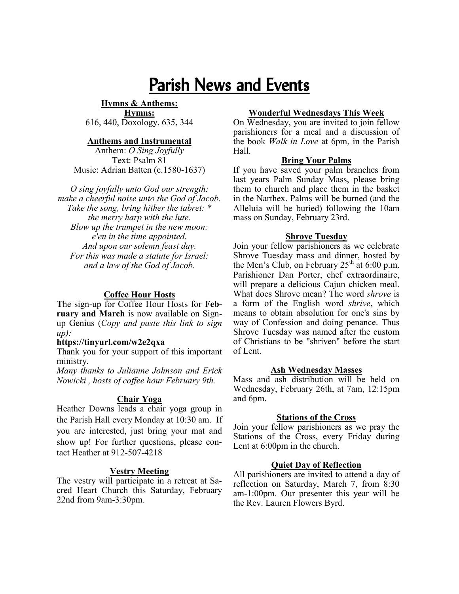# Parish News and Events

**Hymns & Anthems: Hymns:**  616, 440, Doxology, 635, 344

#### **Anthems and Instrumental**

Anthem: *O Sing Joyfully* Text: Psalm 81 Music: Adrian Batten (c.1580-1637)

*O sing joyfully unto God our strength: make a cheerful noise unto the God of Jacob. Take the song, bring hither the tabret: \* the merry harp with the lute. Blow up the trumpet in the new moon: e'en in the time appointed. And upon our solemn feast day. For this was made a statute for Israel: and a law of the God of Jacob.*

#### **Coffee Hour Hosts**

**T**he sign-up for Coffee Hour Hosts for **February and March** is now available on Signup Genius (*Copy and paste this link to sign up):*

#### **https://tinyurl.com/w2e2qxa**

Thank you for your support of this important ministry.

*Many thanks to Julianne Johnson and Erick Nowicki , hosts of coffee hour February 9th.*

#### **Chair Yoga**

Heather Downs leads a chair yoga group in the Parish Hall every Monday at 10:30 am. If you are interested, just bring your mat and show up! For further questions, please contact Heather at 912-507-4218

#### **Vestry Meeting**

The vestry will participate in a retreat at Sacred Heart Church this Saturday, February 22nd from 9am-3:30pm.

#### **Wonderful Wednesdays This Week**

On Wednesday, you are invited to join fellow parishioners for a meal and a discussion of the book *Walk in Love* at 6pm, in the Parish Hall.

#### **Bring Your Palms**

If you have saved your palm branches from last years Palm Sunday Mass, please bring them to church and place them in the basket in the Narthex. Palms will be burned (and the Alleluia will be buried) following the 10am mass on Sunday, February 23rd.

#### **Shrove Tuesday**

Join your fellow parishioners as we celebrate Shrove Tuesday mass and dinner, hosted by the Men's Club, on February  $25<sup>th</sup>$  at 6:00 p.m. Parishioner Dan Porter, chef extraordinaire, will prepare a delicious Cajun chicken meal. What does Shrove mean? The word *shrove* is a form of the English word *shrive*, which means to obtain [absolution](https://en.wikipedia.org/wiki/Absolution) for one's [sins](https://en.wikipedia.org/wiki/Sin) by way of [Confession a](https://en.wikipedia.org/wiki/Confession_(religion))nd doing [penance.](https://en.wikipedia.org/wiki/Penance) Thus Shrove Tuesday was named after the custom of Christians to be "shriven" before the start of Lent.

#### **Ash Wednesday Masses**

Mass and ash distribution will be held on Wednesday, February 26th, at 7am, 12:15pm and 6pm.

#### **Stations of the Cross**

Join your fellow parishioners as we pray the Stations of the Cross, every Friday during Lent at 6:00pm in the church.

#### **Quiet Day of Reflection**

All parishioners are invited to attend a day of reflection on Saturday, March 7, from 8:30 am-1:00pm. Our presenter this year will be the Rev. Lauren Flowers Byrd.